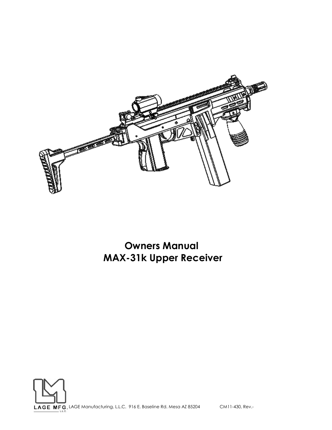

**Owners Manual MAX-31k Upper Receiver**

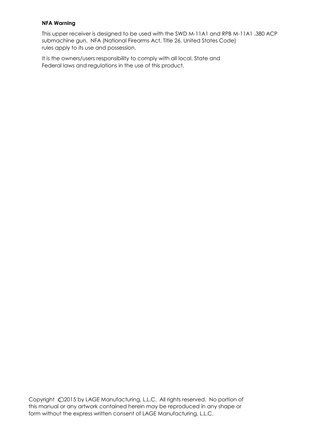# **NFA Warning**

This upper receiver is designed to be used with the SWD M-11A1 and RPB M-11A1 .380 ACP submachine gun. NFA (National Firearms Act, Title 26, United States Code) rules apply to its use and possession.

It is the owners/users responsibility to comply with all local, State and Federal laws and regulations in the use of this product.

Copyright  $\bigcirc$  2015 by LAGE Manufacturing, L.L.C. All rights reserved. No portion of this manual or any artwork contained herein may be reproduced in any shape or form without the express written consent of LAGE Manufacturing, L.L.C.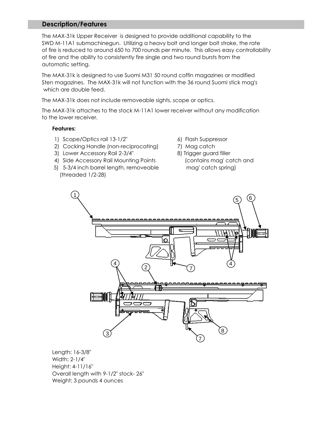# **Description/Features**

The MAX-31k Upper Receiver is designed to provide additional capability to the SWD M-11A1 submachinegun. Utilizing a heavy bolt and longer bolt stroke, the rate of fire is reduced to around 650 to 700 rounds per minute. This allows easy controllability of fire and the ability to consistently fire single and two round bursts from the automatic setting.

The MAX-31k is designed to use Suomi M31 50 round coffin magazines or modified Sten magazines. The MAX-31k will not function with the 36 round Suomi stick mag's which are double feed.

The MAX-31k does not include removeable sights, scope or optics.

The MAX-31k attaches to the stock M-11A1 lower receiver without any modification to the lower receiver.

## **Features:**

- 1) Scope/Optics rail 13-1/2" 6) Flash Suppressor
- 2) Cocking Handle (non-reciprocating) 7) Mag catch
- 3) Lower Accessory Rail 2-3/4" 8) Trigger guard filler
- 4) Side Accessory Rail Mounting Points (contains mag' catch and
- 5) 5-3/4 inch barrel length, removeable mag' catch spring) (threaded 1/2-28)
- 
- 
- 



Length: 16-3/8" Width: 2-1/4" Height: 4-11/16" Overall length with 9-1/2" stock- 26" Weight: 3 pounds 4 ounces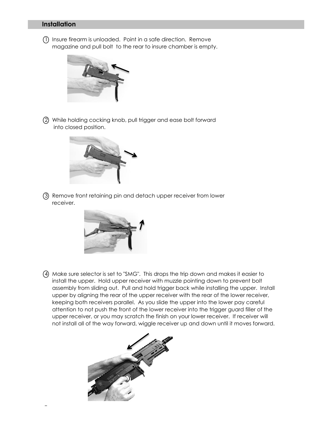# **Installation**

1 Insure firearm is unloaded. Point in a safe direction. Remove magazine and pull bolt to the rear to insure chamber is empty.



2 While holding cocking knob, pull trigger and ease bolt forward into closed position.



3 Remove front retaining pin and detach upper receiver from lower receiver.



4 Make sure selector is set to "SMG". This drops the trip down and makes it easier to install the upper. Hold upper receiver with muzzle pointing down to prevent bolt assembly from sliding out. Pull and hold trigger back while installing the upper. Install upper by aligning the rear of the upper receiver with the rear of the lower receiver, keeping both receivers parallel. As you slide the upper into the lower pay careful attention to not push the front of the lower receiver into the trigger guard filler of the upper receiver, or you may scratch the finish on your lower receiver. If receiver will not install all of the way forward, wiggle receiver up and down until it moves forward.

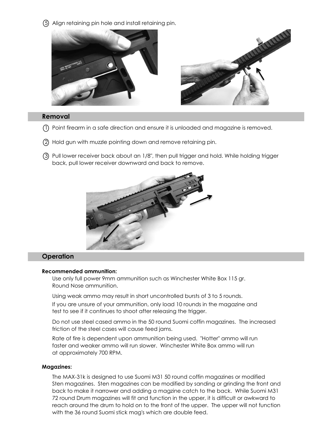5 Align retaining pin hole and install retaining pin.



# **Removal**

- 1 Point firearm in a safe direction and ensure it is unloaded and magazine is removed.
- 2 Hold gun with muzzle pointing down and remove retaining pin.
- 3 Pull lower receiver back about an 1/8", then pull trigger and hold. While holding trigger back, pull lower receiver downward and back to remove.



# **Operation**

#### **Recommended ammunition:**

Use only full power 9mm ammunition such as Winchester White Box 115 gr. Round Nose ammunition.

Using weak ammo may result in short uncontrolled bursts of 3 to 5 rounds. If you are unsure of your ammunition, only load 10 rounds in the magazine and test to see if it continues to shoot after releasing the trigger.

Do not use steel cased ammo in the 50 round Suomi coffin magazines. The increased friction of the steel cases will cause feed jams.

Rate of fire is dependent upon ammunition being used. "Hotter" ammo will run faster and weaker ammo will run slower. Winchester White Box ammo will run at approximately 700 RPM.

#### **Magazines:**

The MAX-31k is designed to use Suomi M31 50 round coffin magazines or modified Sten magazines. Sten magazines can be modified by sanding or grinding the front and back to make it narrower and adding a magzine catch to the back. While Suomi M31 72 round Drum magazines will fit and function in the upper, it is difficult or awkward to reach around the drum to hold on to the front of the upper. The upper will not function with the 36 round Suomi stick mag's which are double feed.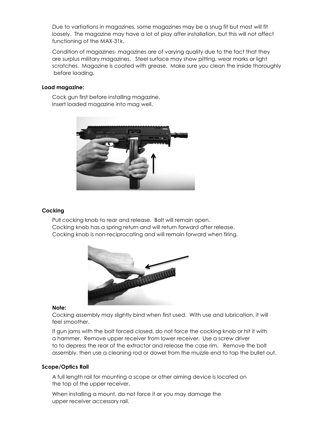Due to vartiations in magazines, some magazines may be a snug fit but most will fit loosely. The magazine may have a lot of play after installation, but this will not affect functioning of the MAX-31k.

Condition of magazines- magazines are of varying quality due to the fact that they are surplus military magazines. Steel surface may show pitting, wear marks or light scratches. Magazine is coated with grease. Make sure you clean the inside thoroughly before loading.

## **Load magazine:**

Cock gun first before installing magazine. Insert loaded magazine into mag well.



#### **Cocking**

Pull cocking knob to rear and release. Bolt will remain open. Cocking knob has a spring return and will return forward after release. Cocking knob is non-reciprocating and will remain forward when firing.



#### **Note:**

Cocking assembly may slightly bind when first used. With use and lubrication, it will feel smoother.

If gun jams with the bolt forced closed, do not force the cocking knob or hit it with a hammer. Remove upper receiver from lower receiver. Use a screw driver to to depress the rear of the extractor and release the case rim. Remove the bolt assembly, then use a cleaning rod or dowel from the muzzle end to tap the bullet out.

#### **Scope/Optics Rail**

A full length rail for mounting a scope or other aiming device is located on the top of the upper receiver.

When installing a mount, do not force it or you may damage the upper receiver accessory rail.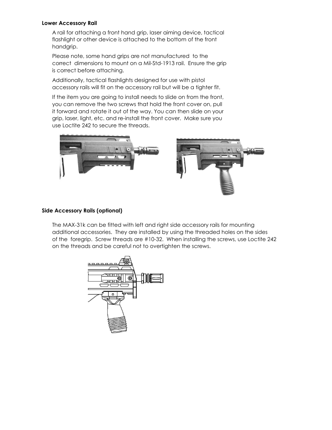#### **Lower Accessory Rail**

A rail for attaching a front hand grip, laser aiming device, tactical flashlight or other device is attached to the bottom of the front handgrip.

Please note, some hand grips are not manufactured to the correct dimensions to mount on a Mil-Std-1913 rail. Ensure the grip is correct before attaching.

Additionally, tactical flashlights designed for use with pistol accessory rails will fit on the accessory rail but will be a tighter fit.

If the item you are going to install needs to slide on from the front, you can remove the two screws that hold the front cover on, pull it forward and rotate it out of the way. You can then slide on your grip, laser, light, etc. and re-install the front cover. Make sure you use Loctite 242 to secure the threads.



## **Side Accessory Rails (optional)**

The MAX-31k can be fitted with left and right side accessory rails for mounting additional accessories. They are installed by using the threaded holes on the sides of the foregrip. Screw threads are #10-32. When installing the screws, use Loctite 242 on the threads and be careful not to overtighten the screws.

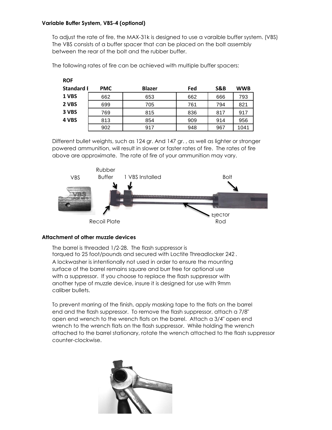# **Variable Buffer System, VBS-4 (optional)**

**ROF**

To adjust the rate of fire, the MAX-31k is designed to use a varaible buffer system. (VBS) The VBS consists of a buffer spacer that can be placed on the bolt assembly between the rear of the bolt and the rubber buffer.

| <b>Standard I</b> | <b>PMC</b> | <b>Blazer</b> | Fed | S&B | <b>WWB</b> |
|-------------------|------------|---------------|-----|-----|------------|
| 1 VBS             | 662        | 653           | 662 | 666 | 793        |
| 2 VBS             | 699        | 705           | 761 | 794 | 821        |
| 3 VBS             | 769        | 815           | 836 | 817 | 917        |
| 4 VBS             | 813        | 854           | 909 | 914 | 956        |
|                   | 902        | 917           | 948 | 967 | 1041       |

The following rates of fire can be achieved with multiple buffer spacers:

Different bullet weights, such as 124 gr. And 147 gr. , as well as lighter or stronger powered ammunition, will result in slower or faster rates of fire. The rates of fire above are approximate. The rate of fire of your ammunition may vary.



## **Attachment of other muzzle devices**

The barrel is threaded 1/2-28. The flash suppressor is torqued to 25 foot/pounds and secured with Loctite Threadlocker 242 . A lockwasher is intentionally not used in order to ensure the mounting surface of the barrel remains square and burr free for optional use with a suppressor. If you choose to replace the flash suppressor with another type of muzzle device, insure it is designed for use with 9mm caliber bullets.

To prevent marring of the finish, apply masking tape to the flats on the barrel end and the flash suppressor. To remove the flash suppressor, attach a 7/8" open end wrench to the wrench flats on the barrel. Attach a 3/4" open end wrench to the wrench flats on the flash suppressor. While holding the wrench attached to the barrel stationary, rotate the wrench attached to the flash suppressor counter-clockwise.

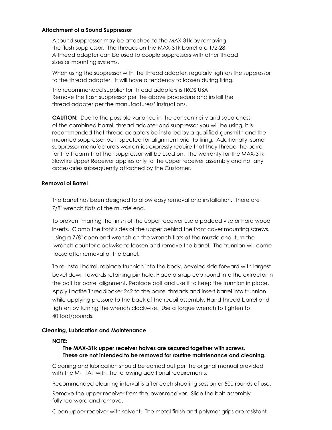## **Attachment of a Sound Suppressor**

A sound suppressor may be attached to the MAX-31k by removing the flash suppressor. The threads on the MAX-31k barrel are 1/2-28. A thread adapter can be used to couple suppressors with other thread sizes or mounting systems.

When using the suppressor with the thread adapter, regularly tighten the suppressor to the thread adapter. It will have a tendency to loosen during firing.

The recommended supplier for thread adapters is TROS USA Remove the flash suppressor per the above procedure and install the thread adapter per the manufacturers' instructions.

**CAUTION:** Due to the possible variance in the concentricity and squareness of the combined barrel, thread adapter and suppressor you will be using, it is recommended that thread adapters be installed by a qualified gunsmith and the mounted suppressor be inspected for alignment prior to firing. Additionally, some suppressor manufacturers warranties expressly require that they thread the barrel for the firearm that their suppressor will be used on. The warranty for the MAX-31k Slowfire Upper Receiver applies only to the upper receiver assembly and not any accessories subsequently attached by the Customer.

## **Removal of Barrel**

The barrel has been designed to allow easy removal and installation. There are 7/8" wrench flats at the muzzle end.

To prevent marring the finish of the upper receiver use a padded vise or hard wood inserts. Clamp the front sides of the upper behind the front cover mounting screws. Using a 7/8" open end wrench on the wrench flats at the muzzle end, turn the wrench counter clockwise to loosen and remove the barrel. The trunnion will come loose after removal of the barrel.

To re-install barrel, replace trunnion into the body, beveled side forward with largest bevel down towards retaining pin hole. Place a snap cap round into the extractor in the bolt for barrel alignment. Replace bolt and use it to keep the trunnion in place. Apply Loctite Threadlocker 242 to the barrel threads and insert barrel into trunnion while applying pressure to the back of the recoil assembly. Hand thread barrel and tighten by turning the wrench clockwise. Use a torque wrench to tighten to 40 foot/pounds.

## **Cleaning, Lubrication and Maintenance**

## **NOTE:**

# **The MAX-31k upper receiver halves are secured together with screws. These are not intended to be removed for routine maintenance and cleaning.**

Cleaning and lubrication should be carried out per the original manual provided with the M-11A1 with the following additional requirements:

Recommended cleaning interval is after each shooting session or 500 rounds of use.

Remove the upper receiver from the lower receiver. Slide the bolt assembly fully rearward and remove.

Clean upper receiver with solvent. The metal finish and polymer grips are resistant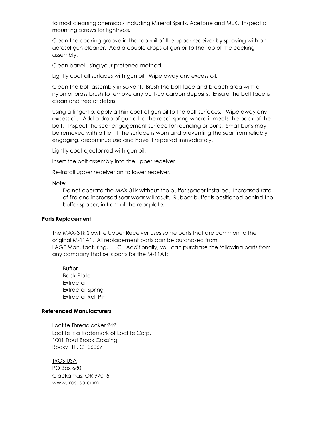to most cleaning chemicals including Mineral Spirits, Acetone and MEK. Inspect all mounting screws for tightness.

Clean the cocking groove in the top rail of the upper receiver by spraying with an aerosol gun cleaner. Add a couple drops of gun oil to the top of the cocking assembly.

Clean barrel using your preferred method.

Lightly coat all surfaces with gun oil. Wipe away any excess oil.

Clean the bolt assembly in solvent. Brush the bolt face and breach area with a nylon or brass brush to remove any built-up carbon deposits. Ensure the bolt face is clean and free of debris.

Using a fingertip, apply a thin coat of gun oil to the bolt surfaces. Wipe away any excess oil. Add a drop of gun oil to the recoil spring where it meets the back of the bolt. Inspect the sear engagement surface for rounding or burrs. Small burrs may be removed with a file. If the surface is worn and preventing the sear from reliably engaging, discontinue use and have it repaired immediately.

Lightly coat ejector rod with gun oil.

Insert the bolt assembly into the upper receiver.

Re-install upper receiver on to lower receiver.

Note:

Do not operate the MAX-31k without the buffer spacer installed. Increased rate of fire and increased sear wear will result. Rubber buffer is positioned behind the buffer spacer, in front of the rear plate.

#### **Parts Replacement**

The MAX-31k Slowfire Upper Receiver uses some parts that are common to the original M-11A1. All replacement parts can be purchased from LAGE Manufacturing, L.L.C. Additionally, you can purchase the following parts from any company that sells parts for the M-11A1:

Buffer Back Plate **Extractor** Extractor Spring Extractor Roll Pin

#### **Referenced Manufacturers**

Loctite Threadlocker 242 Loctite is a trademark of Loctite Corp. 1001 Trout Brook Crossing Rocky Hill, CT 06067

TROS USA PO Box 680 Clackamas, OR 97015 www.trosusa.com